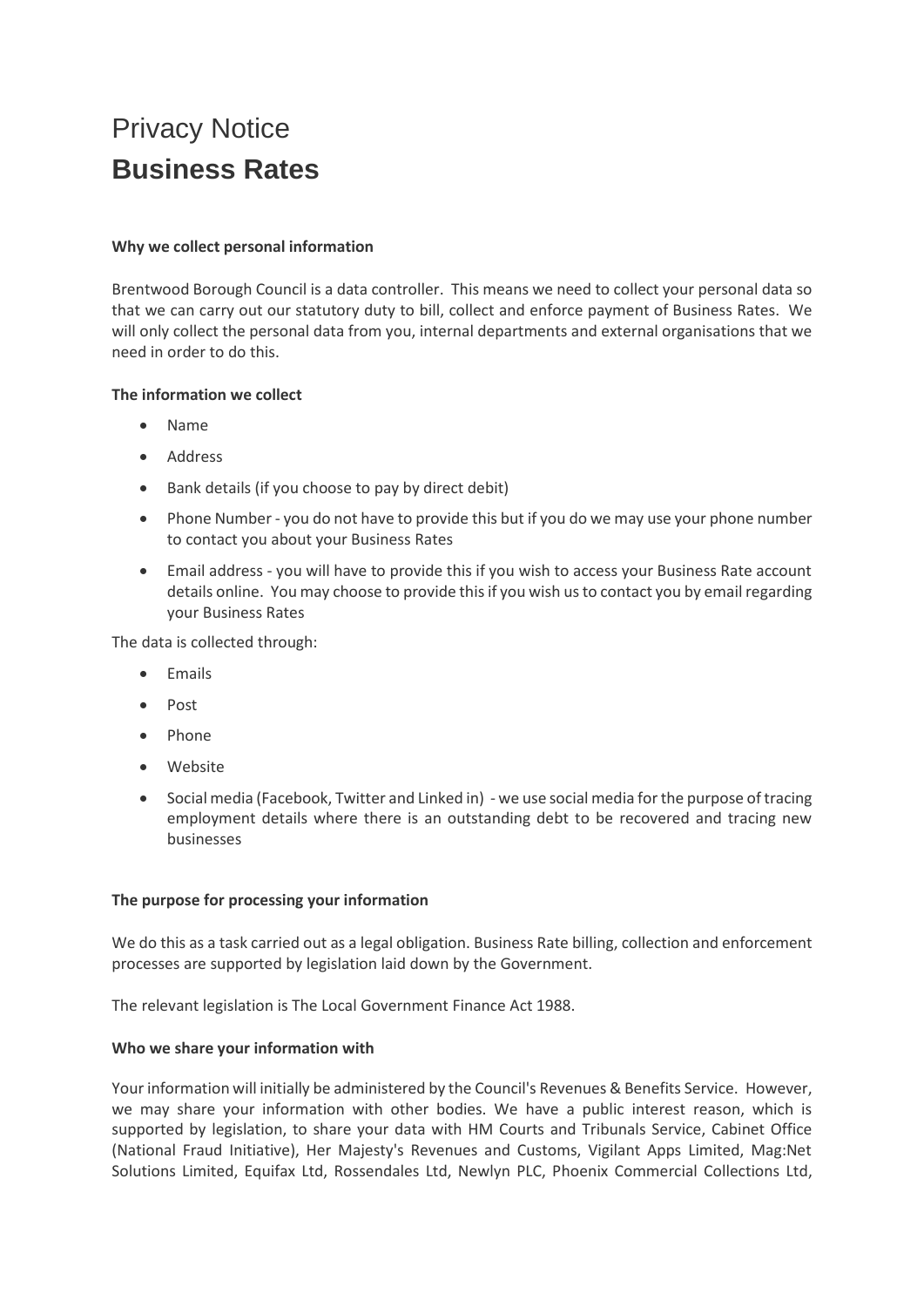# Privacy Notice **Business Rates**

## **Why we collect personal information**

Brentwood Borough Council is a data controller. This means we need to collect your personal data so that we can carry out our statutory duty to bill, collect and enforce payment of Business Rates. We will only collect the personal data from you, internal departments and external organisations that we need in order to do this.

## **The information we collect**

- Name
- Address
- Bank details (if you choose to pay by direct debit)
- Phone Number you do not have to provide this but if you do we may use your phone number to contact you about your Business Rates
- Email address you will have to provide this if you wish to access your Business Rate account details online. You may choose to provide this if you wish us to contact you by email regarding your Business Rates

The data is collected through:

- Emails
- Post
- Phone
- Website
- Social media (Facebook, Twitter and Linked in) we use social media for the purpose of tracing employment details where there is an outstanding debt to be recovered and tracing new businesses

## **The purpose for processing your information**

We do this as a task carried out as a legal obligation. Business Rate billing, collection and enforcement processes are supported by legislation laid down by the Government.

The relevant legislation is The Local Government Finance Act 1988.

## **Who we share your information with**

Your information will initially be administered by the Council's Revenues & Benefits Service. However, we may share your information with other bodies. We have a public interest reason, which is supported by legislation, to share your data with HM Courts and Tribunals Service, Cabinet Office (National Fraud Initiative), Her Majesty's Revenues and Customs, Vigilant Apps Limited, Mag:Net Solutions Limited, Equifax Ltd, Rossendales Ltd, Newlyn PLC, Phoenix Commercial Collections Ltd,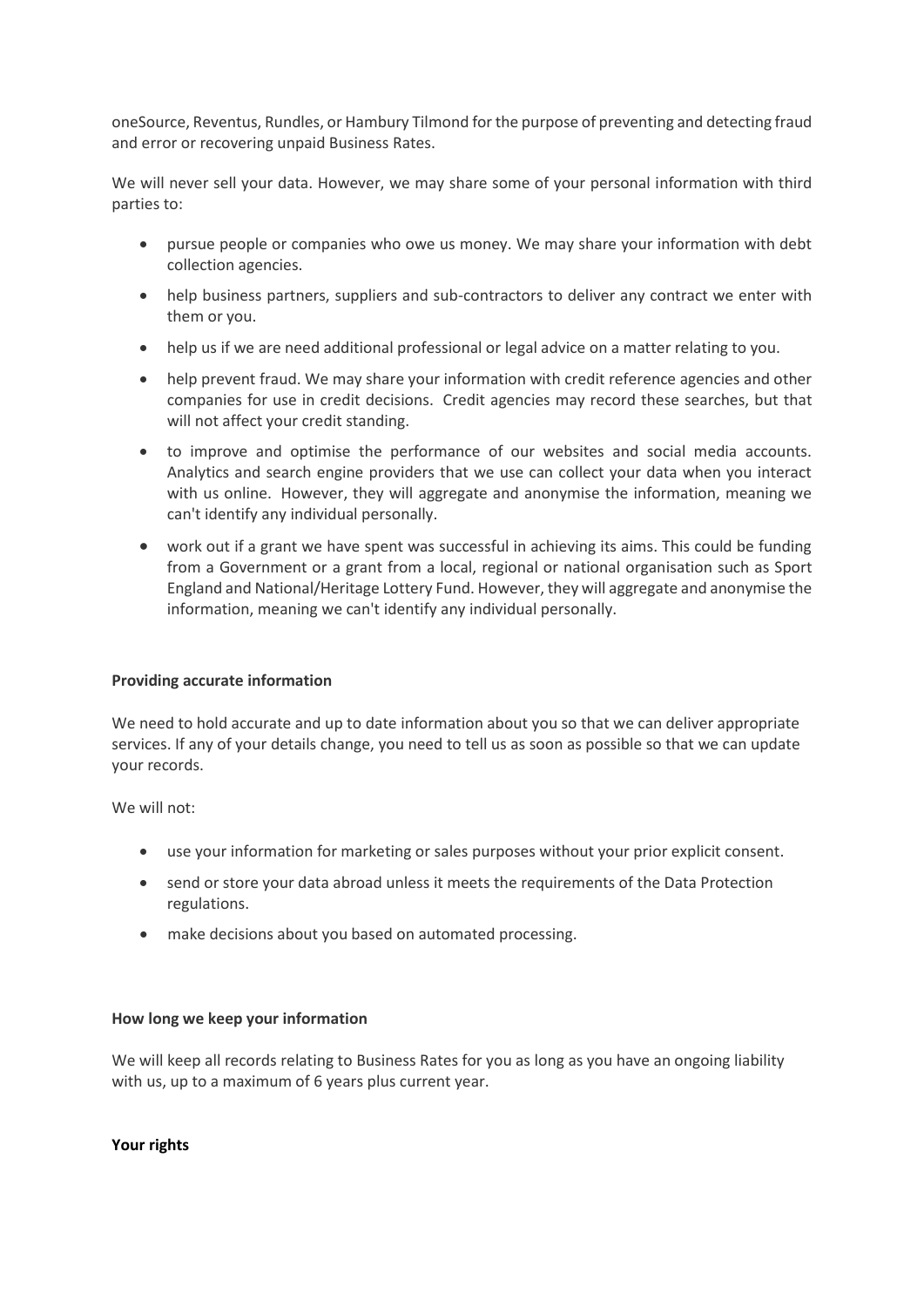oneSource, Reventus, Rundles, or Hambury Tilmond for the purpose of preventing and detecting fraud and error or recovering unpaid Business Rates.

We will never sell your data. However, we may share some of your personal information with third parties to:

- pursue people or companies who owe us money. We may share your information with debt collection agencies.
- help business partners, suppliers and sub-contractors to deliver any contract we enter with them or you.
- help us if we are need additional professional or legal advice on a matter relating to you.
- help prevent fraud. We may share your information with credit reference agencies and other companies for use in credit decisions. Credit agencies may record these searches, but that will not affect your credit standing.
- to improve and optimise the performance of our websites and social media accounts. Analytics and search engine providers that we use can collect your data when you interact with us online. However, they will aggregate and anonymise the information, meaning we can't identify any individual personally.
- work out if a grant we have spent was successful in achieving its aims. This could be funding from a Government or a grant from a local, regional or national organisation such as Sport England and National/Heritage Lottery Fund. However, they will aggregate and anonymise the information, meaning we can't identify any individual personally.

## **Providing accurate information**

We need to hold accurate and up to date information about you so that we can deliver appropriate services. If any of your details change, you need to tell us as soon as possible so that we can update your records.

We will not:

- use your information for marketing or sales purposes without your prior explicit consent.
- send or store your data abroad unless it meets the requirements of the Data Protection regulations.
- make decisions about you based on automated processing.

## **How long we keep your information**

We will keep all records relating to Business Rates for you as long as you have an ongoing liability with us, up to a maximum of 6 years plus current year.

## **Your rights**